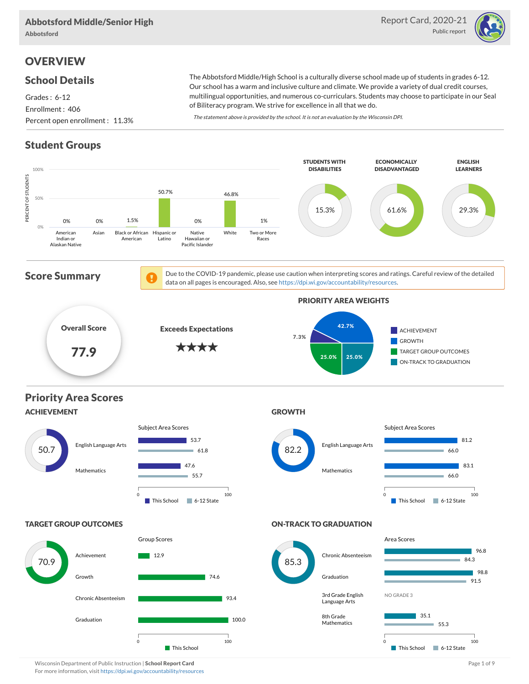

# **OVERVIEW**

#### School Details

Grades : 6-12 Enrollment : 406 Percent open enrollment : 11.3%

The Abbotsford Middle/High School is a culturally diverse school made up of students in grades 6-12. Our school has a warm and inclusive culture and climate. We provide a variety of dual credit courses, multilingual opportunities, and numerous co-curriculars. Students may choose to participate in our Seal of Biliteracy program. We strive for excellence in all that we do.

The statement above is provided by the school. It is not an evaluation by the Wisconsin DPI.

# Student Groups



Wisconsin Department of Public Instruction | School Report Card Page 1 of 9 and 2008 and 2008 and Page 1 of 9 and Page 1 of 9 and Page 1 of 9 and Page 1 of 9 and Page 1 of 9 and Page 1 of 9 and Page 1 of 9 and Page 1 of 9 For more information, visit https://dpi.wi.gov/accountability/resources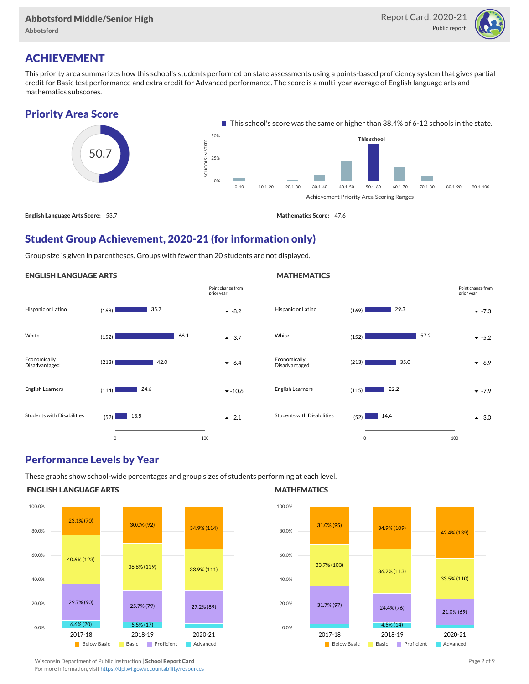

# ACHIEVEMENT

This priority area summarizes how this school's students performed on state assessments using a points-based proficiency system that gives partial credit for Basic test performance and extra credit for Advanced performance. The score is a multi-year average of English language arts and mathematics subscores.



English Language Arts Score: 53.7 Mathematics Score: 47.6

### Student Group Achievement, 2020-21 (for information only)

Group size is given in parentheses. Groups with fewer than 20 students are not displayed.

#### ENGLISH LANGUAGE ARTS





#### Performance Levels by Year

These graphs show school-wide percentages and group sizes of students performing at each level.

#### ENGLISH LANGUAGE ARTS



#### **MATHEMATICS**



Wisconsin Department of Public Instruction | School Report Card Page 2 of 9 and 2 of 9 and 2 of 9 and 2 of 9 and 2 of 9 and 2 of 9 and 2 of 9 and 2 of 9 and 2 of 9 and 2 of 9 and 2 of 9 and 2 of 9 and 2 of 9 and 2 of 9 and

For more information, visit https://dpi.wi.gov/accountability/resources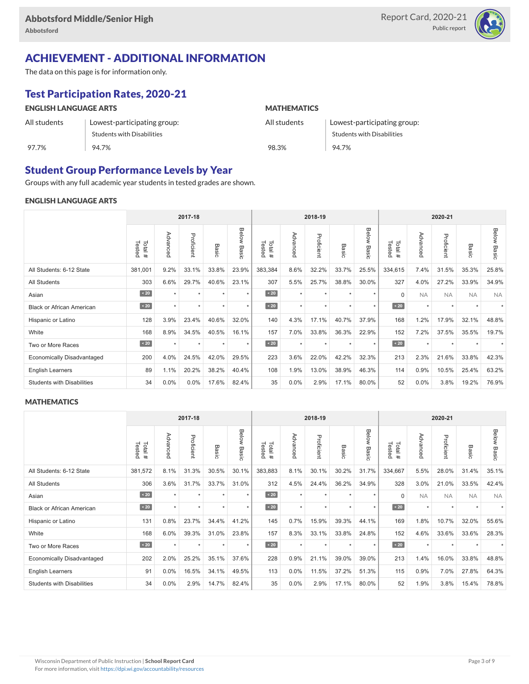

# ACHIEVEMENT - ADDITIONAL INFORMATION

The data on this page is for information only.

# Test Participation Rates, 2020-21

| <b>ENGLISH LANGUAGE ARTS</b> |                                   | <b>MATHEMATICS</b> |                                   |  |  |  |  |
|------------------------------|-----------------------------------|--------------------|-----------------------------------|--|--|--|--|
| All students                 | Lowest-participating group:       | All students       | Lowest-participating group:       |  |  |  |  |
|                              | <b>Students with Disabilities</b> |                    | <b>Students with Disabilities</b> |  |  |  |  |
| 97.7%                        | 94.7%                             | 98.3%              | 94.7%                             |  |  |  |  |

#### Student Group Performance Levels by Year

Groups with any full academic year students in tested grades are shown.

#### ENGLISH LANGUAGE ARTS

|                                   | 2017-18          |          |            |         | 2018-19        |                  |          |            | 2020-21          |                |                   |           |            |           |                    |
|-----------------------------------|------------------|----------|------------|---------|----------------|------------------|----------|------------|------------------|----------------|-------------------|-----------|------------|-----------|--------------------|
|                                   | Tested<br>Total# | Advanced | Proficient | Basic   | Below<br>Basic | Tested<br>Total# | Advanced | Proficient | Basi<br>$\Omega$ | Below<br>Basic | Tested<br>Total # | Advancec  | Proficient | Basic     | <b>Below Basic</b> |
| All Students: 6-12 State          | 381,001          | 9.2%     | 33.1%      | 33.8%   | 23.9%          | 383,384          | 8.6%     | 32.2%      | 33.7%            | 25.5%          | 334,615           | 7.4%      | 31.5%      | 35.3%     | 25.8%              |
| All Students                      | 303              | 6.6%     | 29.7%      | 40.6%   | 23.1%          | 307              | 5.5%     | 25.7%      | 38.8%            | 30.0%          | 327               | 4.0%      | 27.2%      | 33.9%     | 34.9%              |
| Asian                             | $\sim 20$        | ٠        | ٠          | ٠       | $\star$        | $\angle 20$      | $\star$  | $\star$    |                  | $\star$        | $\mathbf 0$       | <b>NA</b> | <b>NA</b>  | <b>NA</b> | <b>NA</b>          |
| <b>Black or African American</b>  | $\sim 20$        | $\star$  | $\star$    | $\star$ | $\star$        | $\angle 20$      | $\star$  | $\star$    |                  | $\star$        | $\sim 20$         | $\star$   | $\star$    |           |                    |
| Hispanic or Latino                | 128              | 3.9%     | 23.4%      | 40.6%   | 32.0%          | 140              | 4.3%     | 17.1%      | 40.7%            | 37.9%          | 168               | 1.2%      | 17.9%      | 32.1%     | 48.8%              |
| White                             | 168              | 8.9%     | 34.5%      | 40.5%   | 16.1%          | 157              | 7.0%     | 33.8%      | 36.3%            | 22.9%          | 152               | 7.2%      | 37.5%      | 35.5%     | 19.7%              |
| Two or More Races                 | $\sim 20$        | $\star$  | $\star$    | $\star$ | $\star$        | $\sim 20$        | $\star$  | $\star$    | $\star$          | $\star$        | $\angle 20$       | $\star$   | $\star$    |           |                    |
| <b>Economically Disadvantaged</b> | 200              | 4.0%     | 24.5%      | 42.0%   | 29.5%          | 223              | 3.6%     | 22.0%      | 42.2%            | 32.3%          | 213               | 2.3%      | 21.6%      | 33.8%     | 42.3%              |
| <b>English Learners</b>           | 89               | 1.1%     | 20.2%      | 38.2%   | 40.4%          | 108              | 1.9%     | 13.0%      | 38.9%            | 46.3%          | 114               | 0.9%      | 10.5%      | 25.4%     | 63.2%              |
| <b>Students with Disabilities</b> | 34               | 0.0%     | 0.0%       | 17.6%   | 82.4%          | 35               | 0.0%     | 2.9%       | 17.1%            | 80.0%          | 52                | 0.0%      | 3.8%       | 19.2%     | 76.9%              |

#### **MATHEMATICS**

|                                   | 2017-18          |          |            |         | 2018-19        |                  |          |            | 2020-21 |                |                  |           |            |           |                    |
|-----------------------------------|------------------|----------|------------|---------|----------------|------------------|----------|------------|---------|----------------|------------------|-----------|------------|-----------|--------------------|
|                                   | Tested<br>Total# | Advanced | Proficient | Basic   | Below<br>Basic | Total#<br>Tested | Advanced | Proficient | Basic   | Below<br>Basic | Tested<br>Total# | Advanced  | Proficient | Basic     | <b>Below Basic</b> |
| All Students: 6-12 State          | 381,572          | 8.1%     | 31.3%      | 30.5%   | 30.1%          | 383,883          | 8.1%     | 30.1%      | 30.2%   | 31.7%          | 334,667          | 5.5%      | 28.0%      | 31.4%     | 35.1%              |
| All Students                      | 306              | 3.6%     | 31.7%      | 33.7%   | 31.0%          | 312              | 4.5%     | 24.4%      | 36.2%   | 34.9%          | 328              | 3.0%      | 21.0%      | 33.5%     | 42.4%              |
| Asian                             | $\sim 20$        |          | ٠          | ٠       | $\star$        | $\sim 20$        | $\star$  | $\star$    |         | $\star$        | $\mathbf 0$      | <b>NA</b> | <b>NA</b>  | <b>NA</b> | <b>NA</b>          |
| <b>Black or African American</b>  | $\angle 20$      | ٠        | $\star$    |         | $\star$        | $\angle 20$      | $\star$  | $\star$    |         | $\star$        | $\angle 20$      | $\star$   | $\star$    |           |                    |
| Hispanic or Latino                | 131              | 0.8%     | 23.7%      | 34.4%   | 41.2%          | 145              | 0.7%     | 15.9%      | 39.3%   | 44.1%          | 169              | 1.8%      | 10.7%      | 32.0%     | 55.6%              |
| White                             | 168              | 6.0%     | 39.3%      | 31.0%   | 23.8%          | 157              | 8.3%     | 33.1%      | 33.8%   | 24.8%          | 152              | 4.6%      | 33.6%      | 33.6%     | 28.3%              |
| Two or More Races                 | $\sim 20$        | $\star$  | $\star$    | $\star$ | $\star$        | $\sim 20$        | $\star$  | $\star$    | $\star$ | $\star$        | $\sim 20$        | $\star$   | $\star$    |           |                    |
| <b>Economically Disadvantaged</b> | 202              | 2.0%     | 25.2%      | 35.1%   | 37.6%          | 228              | 0.9%     | 21.1%      | 39.0%   | 39.0%          | 213              | 1.4%      | 16.0%      | 33.8%     | 48.8%              |
| <b>English Learners</b>           | 91               | $0.0\%$  | 16.5%      | 34.1%   | 49.5%          | 113              | 0.0%     | 11.5%      | 37.2%   | 51.3%          | 115              | 0.9%      | 7.0%       | 27.8%     | 64.3%              |
| <b>Students with Disabilities</b> | 34               | $0.0\%$  | 2.9%       | 14.7%   | 82.4%          | 35               | 0.0%     | 2.9%       | 17.1%   | 80.0%          | 52               | 1.9%      | 3.8%       | 15.4%     | 78.8%              |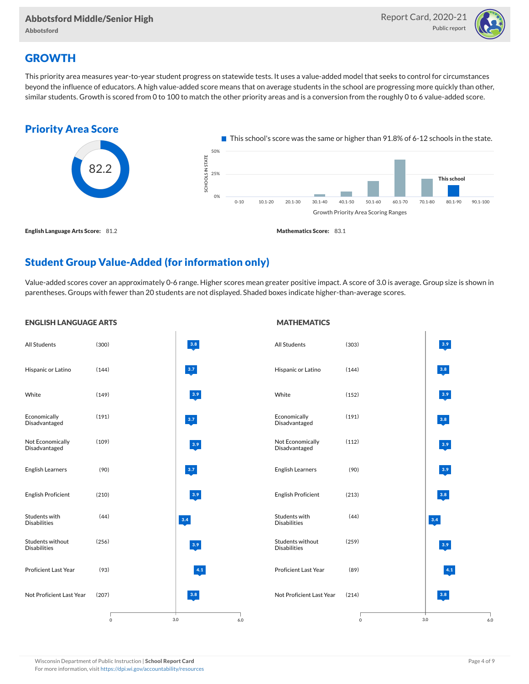

### **GROWTH**

This priority area measures year-to-year student progress on statewide tests. It uses a value-added model that seeks to control for circumstances beyond the influence of educators. A high value-added score means that on average students in the school are progressing more quickly than other, similar students. Growth is scored from 0 to 100 to match the other priority areas and is a conversion from the roughly 0 to 6 value-added score.



### Student Group Value-Added (for information only)

Value-added scores cover an approximately 0-6 range. Higher scores mean greater positive impact. A score of 3.0 is average. Group size is shown in parentheses. Groups with fewer than 20 students are not displayed. Shaded boxes indicate higher-than-average scores.

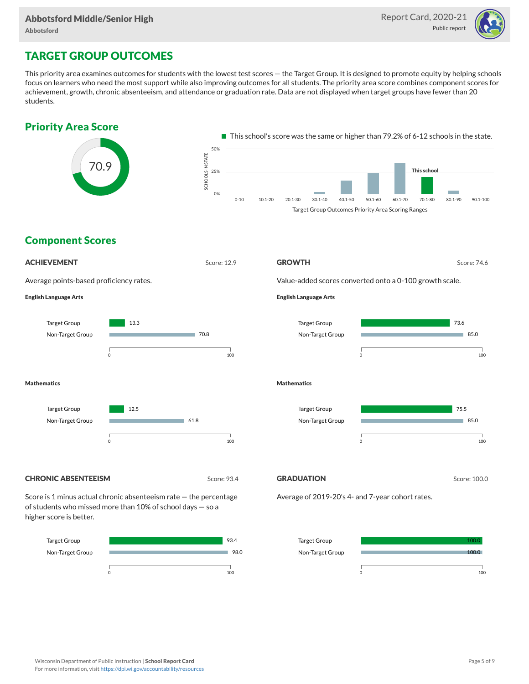

## TARGET GROUP OUTCOMES

This priority area examines outcomes for students with the lowest test scores — the Target Group. It is designed to promote equity by helping schools focus on learners who need the most support while also improving outcomes for all students. The priority area score combines component scores for achievement, growth, chronic absenteeism, and attendance or graduation rate. Data are not displayed when target groups have fewer than 20 students.

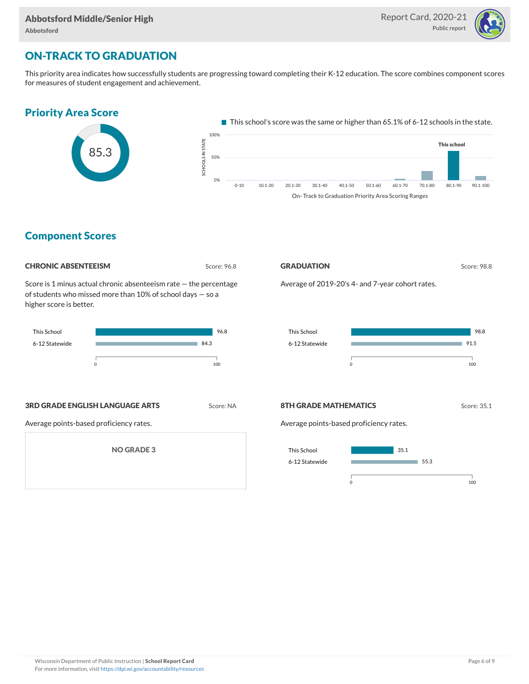

## ON-TRACK TO GRADUATION

This priority area indicates how successfully students are progressing toward completing their K-12 education. The score combines component scores for measures of student engagement and achievement.



#### Component Scores

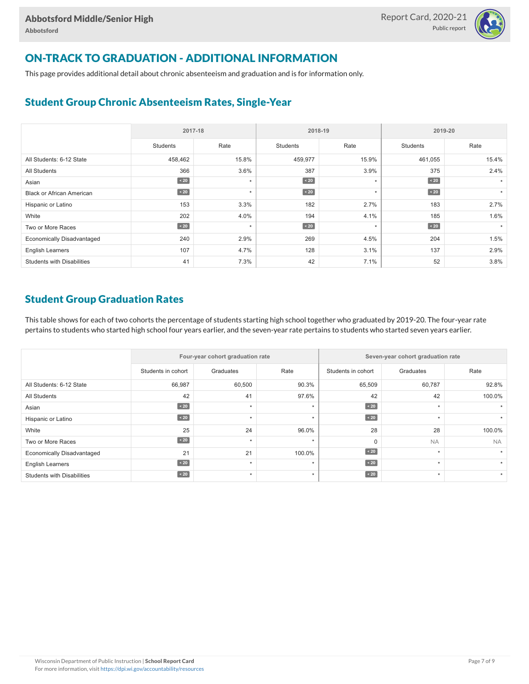

# ON-TRACK TO GRADUATION - ADDITIONAL INFORMATION

This page provides additional detail about chronic absenteeism and graduation and is for information only.

#### Student Group Chronic Absenteeism Rates, Single-Year

|                                   | 2017-18   |         |                 | 2018-19  | 2019-20         |       |  |
|-----------------------------------|-----------|---------|-----------------|----------|-----------------|-------|--|
|                                   | Students  | Rate    | <b>Students</b> | Rate     | <b>Students</b> | Rate  |  |
| All Students: 6-12 State          | 458,462   | 15.8%   | 459,977         | 15.9%    | 461,055         | 15.4% |  |
| All Students                      | 366       | 3.6%    | 387             | 3.9%     | 375             | 2.4%  |  |
| Asian                             | $\sim 20$ | $\star$ | $\sim 20$       | $^\star$ | $\leq 20$       |       |  |
| <b>Black or African American</b>  | $\sim 20$ | $\star$ | $\sim 20$       | $\star$  | $\angle 20$     |       |  |
| Hispanic or Latino                | 153       | 3.3%    | 182             | 2.7%     | 183             | 2.7%  |  |
| White                             | 202       | 4.0%    | 194             | 4.1%     | 185             | 1.6%  |  |
| Two or More Races                 | $\sim 20$ | $\star$ | $\sim 20$       | $\star$  | $\angle 20$     |       |  |
| <b>Economically Disadvantaged</b> | 240       | 2.9%    | 269             | 4.5%     | 204             | 1.5%  |  |
| <b>English Learners</b>           | 107       | 4.7%    | 128             | 3.1%     | 137             | 2.9%  |  |
| <b>Students with Disabilities</b> | 41        | 7.3%    | 42              | 7.1%     | 52              | 3.8%  |  |

#### Student Group Graduation Rates

This table shows for each of two cohorts the percentage of students starting high school together who graduated by 2019-20. The four-year rate pertains to students who started high school four years earlier, and the seven-year rate pertains to students who started seven years earlier.

|                                   |                    | Four-year cohort graduation rate |        | Seven-year cohort graduation rate |           |           |  |  |
|-----------------------------------|--------------------|----------------------------------|--------|-----------------------------------|-----------|-----------|--|--|
|                                   | Students in cohort | Graduates                        | Rate   | Students in cohort                | Graduates | Rate      |  |  |
| All Students: 6-12 State          | 66,987             | 60,500                           | 90.3%  | 65,509                            | 60,787    | 92.8%     |  |  |
| All Students                      | 42                 | 41                               | 97.6%  | 42                                | 42        | 100.0%    |  |  |
| Asian                             | $\angle 20$        | $\star$                          |        | $\angle 20$                       | $\star$   |           |  |  |
| Hispanic or Latino                | $\angle 20$        | $\star$                          | ٠      | $\angle 20$                       | $\star$   |           |  |  |
| White                             | 25                 | 24                               | 96.0%  | 28                                | 28        | 100.0%    |  |  |
| Two or More Races                 | $\angle 20$        | ٠                                |        | $\Omega$                          | <b>NA</b> | <b>NA</b> |  |  |
| <b>Economically Disadvantaged</b> | 21                 | 21                               | 100.0% | $\angle 20$                       | $\star$   |           |  |  |
| <b>English Learners</b>           | $\angle 20$        | ٠                                |        | $\leq 20$                         | $\ddot{}$ |           |  |  |
| <b>Students with Disabilities</b> | $\leq 20$          | $\star$                          | ÷      | $\angle 20$                       | $\star$   |           |  |  |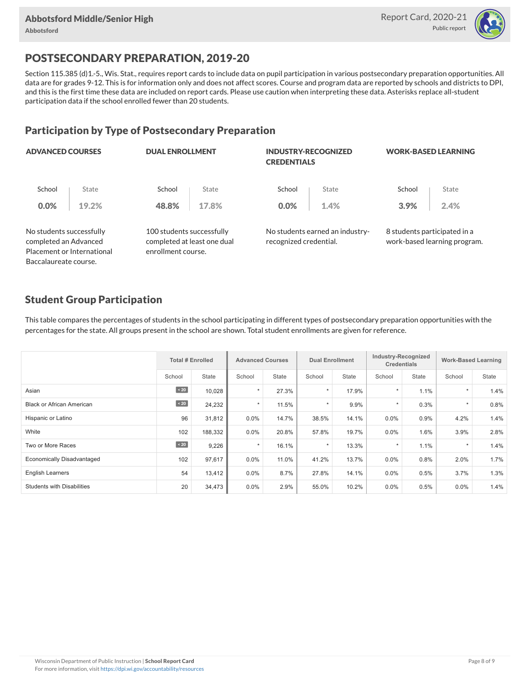

# POSTSECONDARY PREPARATION, 2019-20

Section 115.385 (d)1.-5., Wis. Stat., requires report cards to include data on pupil participation in various postsecondary preparation opportunities. All data are for grades 9-12. This is for information only and does not affect scores. Course and program data are reported by schools and districts to DPI, and this is the first time these data are included on report cards. Please use caution when interpreting these data. Asterisks replace all-student participation data if the school enrolled fewer than 20 students.

#### Participation by Type of Postsecondary Preparation

| <b>ADVANCED COURSES</b>                           |                            | <b>DUAL ENROLLMENT</b>                                                         |       | <b>INDUSTRY-RECOGNIZED</b><br><b>CREDENTIALS</b> |                                 | <b>WORK-BASED LEARNING</b>   |                              |  |
|---------------------------------------------------|----------------------------|--------------------------------------------------------------------------------|-------|--------------------------------------------------|---------------------------------|------------------------------|------------------------------|--|
| School                                            | State                      | School                                                                         | State | School                                           | State                           | School                       | State                        |  |
| 0.0%                                              | 19.2%                      | 48.8%                                                                          | 17.8% | 0.0%                                             | 1.4%                            | 3.9%                         | 2.4%                         |  |
| No students successfully<br>completed an Advanced | Placement or International | 100 students successfully<br>completed at least one dual<br>enrollment course. |       | recognized credential.                           | No students earned an industry- | 8 students participated in a | work-based learning program. |  |
| Baccalaureate course.                             |                            |                                                                                |       |                                                  |                                 |                              |                              |  |

#### Student Group Participation

This table compares the percentages of students in the school participating in different types of postsecondary preparation opportunities with the percentages for the state. All groups present in the school are shown. Total student enrollments are given for reference.

|                                   | <b>Total # Enrolled</b> |         | <b>Advanced Courses</b> |              | <b>Dual Enrollment</b> |       | Industry-Recognized<br><b>Credentials</b> |       | <b>Work-Based Learning</b> |       |
|-----------------------------------|-------------------------|---------|-------------------------|--------------|------------------------|-------|-------------------------------------------|-------|----------------------------|-------|
|                                   | School                  | State   | School                  | <b>State</b> | School                 | State | School                                    | State | School                     | State |
| Asian                             | $\angle 20$             | 10,028  | $\star$                 | 27.3%        | $\star$                | 17.9% |                                           | 1.1%  | $\star$                    | 1.4%  |
| <b>Black or African American</b>  | $\sim 20$               | 24,232  | $\star$                 | 11.5%        | $\star$                | 9.9%  | $\star$                                   | 0.3%  | $\star$                    | 0.8%  |
| Hispanic or Latino                | 96                      | 31,812  | $0.0\%$                 | 14.7%        | 38.5%                  | 14.1% | 0.0%                                      | 0.9%  | 4.2%                       | 1.4%  |
| White                             | 102                     | 188,332 | $0.0\%$                 | 20.8%        | 57.8%                  | 19.7% | 0.0%                                      | 1.6%  | 3.9%                       | 2.8%  |
| Two or More Races                 | $\sim 20$               | 9,226   | $\star$                 | 16.1%        | $\star$                | 13.3% |                                           | 1.1%  | $\star$                    | 1.4%  |
| Economically Disadvantaged        | 102                     | 97,617  | $0.0\%$                 | 11.0%        | 41.2%                  | 13.7% | 0.0%                                      | 0.8%  | 2.0%                       | 1.7%  |
| <b>English Learners</b>           | 54                      | 13,412  | $0.0\%$                 | 8.7%         | 27.8%                  | 14.1% | 0.0%                                      | 0.5%  | 3.7%                       | 1.3%  |
| <b>Students with Disabilities</b> | 20                      | 34,473  | $0.0\%$                 | 2.9%         | 55.0%                  | 10.2% | 0.0%                                      | 0.5%  | $0.0\%$                    | 1.4%  |